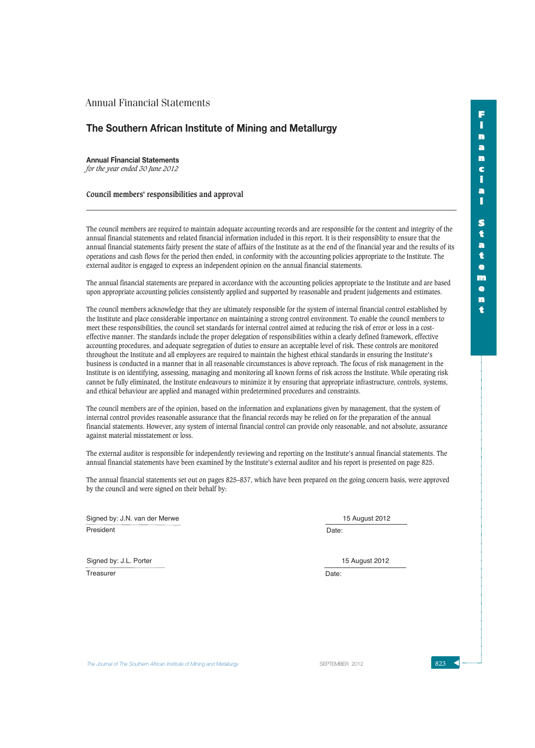## **The Southern African Institute of Mining and Metallurgy**

**Annual Financial Statements** *for the year ended 30 June 2012*

**Council members' responsibilities and approval**

The council members are required to maintain adequate accounting records and are responsible for the content and integrity of the annual financial statements and related financial information included in this report. It is their responsiblity to ensure that the annual financial statements fairly present the state of affairs of the Institute as at the end of the financial year and the results of its operations and cash flows for the period then ended, in conformity with the accounting policies appropriate to the Institute. The external auditor is engaged to express an independent opinion on the annual financial statements.

The annual financial statements are prepared in accordance with the accounting policies appropriate to the Institute and are based upon appropriate accounting policies consistently applied and supported by reasonable and prudent judgements and estimates.

The council members acknowledge that they are ultimately responsible for the system of internal financial control established by the Institute and place considerable importance on maintaining a strong control environment. To enable the council members to meet these responsibilities, the council set standards for internal control aimed at reducing the risk of error or loss in a costeffective manner. The standards include the proper delegation of responsibilities within a clearly defined framework, effective accounting procedures, and adequate segregation of duties to ensure an acceptable level of risk. These controls are monitored throughout the Institute and all employees are required to maintain the highest ethical standards in ensuring the Institute's business is conducted in a manner that in all reasonable circumstances is above reproach. The focus of risk management in the Institute is on identifying, assessing, managing and monitoring all known forms of risk across the Institute. While operating risk cannot be fully eliminated, the Institute endeavours to minimize it by ensuring that appropriate infrastructure, controls, systems, and ethical behaviour are applied and managed within predetermined procedures and constraints.

The council members are of the opinion, based on the information and explanations given by management, that the system of internal control provides reasonable assurance that the financial records may be relied on for the preparation of the annual financial statements. However, any system of internal financial control can provide only reasonable, and not absolute, assurance against material misstatement or loss.

The external auditor is responsible for independently reviewing and reporting on the Institute's annual financial statements. The annual financial statements have been examined by the Institute's external auditor and his report is presented on page 825.

The annual financial statements set out on pages 825–837, which have been prepared on the going concern basis, were approved by the council and were signed on their behalf by:

President Signed by: J.N. van der Merwe 15 August 2012

Date:

Signed by: J.L. Porter

**Treasurer** 

Date: 15 August 2012

**The Journal of The Southern African Institute of Mining and Metallurgy September SEPTEMBER 2012 SPACE 823**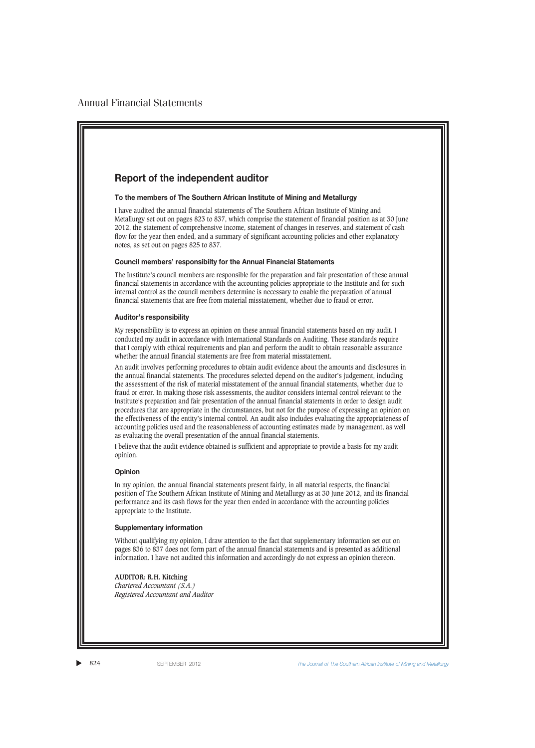## **Report of the independent auditor**

#### **To the members of The Southern African Institute of Mining and Metallurgy**

I have audited the annual financial statements of The Southern African Institute of Mining and Metallurgy set out on pages 823 to 837, which comprise the statement of financial position as at 30 June 2012, the statement of comprehensive income, statement of changes in reserves, and statement of cash flow for the year then ended, and a summary of significant accounting policies and other explanatory notes, as set out on pages 825 to 837.

#### **Council members' responsibilty for the Annual Financial Statements**

The Institute's council members are responsible for the preparation and fair presentation of these annual financial statements in accordance with the accounting policies appropriate to the Institute and for such internal control as the council members determine is necessary to enable the preparation of annual financial statements that are free from material misstatement, whether due to fraud or error.

#### **Auditor's responsibility**

My responsibility is to express an opinion on these annual financial statements based on my audit. I conducted my audit in accordance with International Standards on Auditing. These standards require that I comply with ethical requirements and plan and perform the audit to obtain reasonable assurance whether the annual financial statements are free from material misstatement.

An audit involves performing procedures to obtain audit evidence about the amounts and disclosures in the annual financial statements. The procedures selected depend on the auditor's judgement, including the assessment of the risk of material misstatement of the annual financial statements, whether due to fraud or error. In making those risk assessments, the auditor considers internal control relevant to the Institute's preparation and fair presentation of the annual financial statements in order to design audit procedures that are appropriate in the circumstances, but not for the purpose of expressing an opinion on the effectiveness of the entity's internal control. An audit also includes evaluating the appropriateness of accounting policies used and the reasonableness of accounting estimates made by management, as well as evaluating the overall presentation of the annual financial statements.

I believe that the audit evidence obtained is sufficient and appropriate to provide a basis for my audit opinion.

### **Opinion**

In my opinion, the annual financial statements present fairly, in all material respects, the financial position of The Southern African Institute of Mining and Metallurgy as at 30 June 2012, and its financial performance and its cash flows for the year then ended in accordance with the accounting policies appropriate to the Institute.

#### **Supplementary information**

Without qualifying my opinion, I draw attention to the fact that supplementary information set out on pages 836 to 837 does not form part of the annual financial statements and is presented as additional information. I have not audited this information and accordingly do not express an opinion thereon.

#### **AUDITOR: R.H. Kitching**

*Chartered Accountant (S.A.) Registered Accountant and Auditor*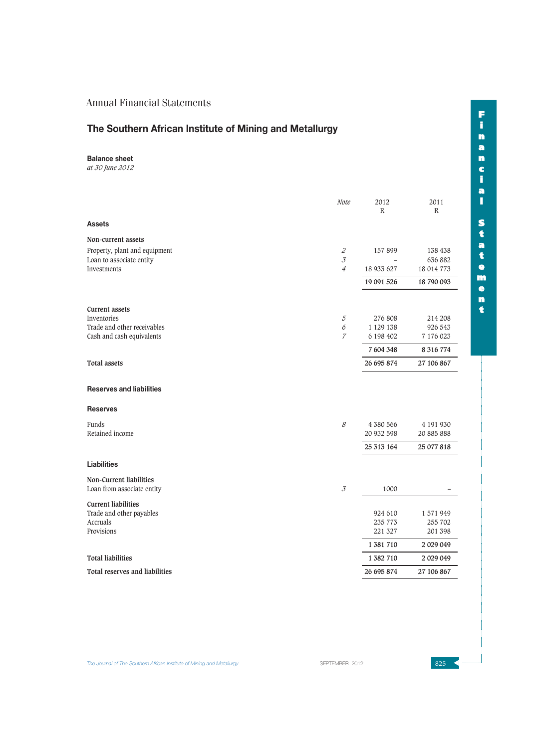# **The Southern African Institute of Mining and Metallurgy**

**Balance sheet**

*at 30 June 2012*

|                                       | Note                                                | 2012<br>R   | 2011<br>$\mathbb{R}$ |
|---------------------------------------|-----------------------------------------------------|-------------|----------------------|
| <b>Assets</b>                         |                                                     |             |                      |
| Non-current assets                    |                                                     |             |                      |
| Property, plant and equipment         | $\mathcal Z$                                        | 157 899     | 138 438              |
| Loan to associate entity              | $\mathcal{J}_{0}$                                   |             | 636 882              |
| Investments                           | $\overline{4}$                                      | 18 933 627  | 18 014 773           |
|                                       |                                                     | 19 091 526  | 18 790 093           |
| <b>Current assets</b>                 |                                                     |             |                      |
| Inventories                           | $\mathcal{5}$                                       | 276 808     | 214 208              |
| Trade and other receivables           | $\boldsymbol{\delta}$                               | 1 1 29 1 38 | 926 543              |
| Cash and cash equivalents             | $\boldsymbol{7}$                                    | 6 198 402   | 7 176 023            |
|                                       |                                                     | 7 604 348   | 8 316 774            |
| <b>Total assets</b>                   |                                                     | 26 695 874  | 27 106 867           |
| <b>Reserves and liabilities</b>       |                                                     |             |                      |
| <b>Reserves</b>                       |                                                     |             |                      |
| <b>Funds</b>                          | $\mathcal S$                                        | 4 380 566   | 4 191 930            |
| Retained income                       |                                                     | 20 932 598  | 20 885 888           |
|                                       |                                                     | 25 313 164  | 25 077 818           |
| <b>Liabilities</b>                    |                                                     |             |                      |
| Non-Current liabilities               |                                                     |             |                      |
| Loan from associate entity            | $\mathcal{J}% _{G}(\theta)=\mathcal{J}_{G}(\theta)$ | 1000        |                      |
| <b>Current liabilities</b>            |                                                     |             |                      |
| Trade and other payables              |                                                     | 924 610     | 1571949              |
| Accruals                              |                                                     | 235 773     | 255 702              |
| Provisions                            |                                                     | 221 327     | 201 398              |
|                                       |                                                     | 1 381 710   | 2 029 049            |
| <b>Total liabilities</b>              |                                                     | 1 382 710   | 2 029 049            |
| <b>Total reserves and liabilities</b> |                                                     | 26 695 874  | 27 106 867           |

The Journal of The Southern African Institute of Mining and Metallurgy Server September 2012 825 **4**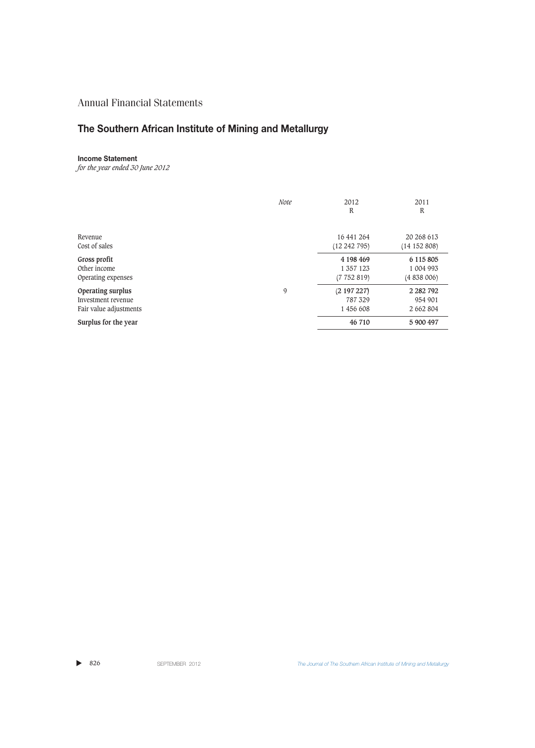# **The Southern African Institute of Mining and Metallurgy**

### **Income Statement**

*for the year ended 30 June 2012*

|                        | <b>Note</b> | 2012<br>R  | 2011<br>R     |
|------------------------|-------------|------------|---------------|
| Revenue                |             | 16 441 264 | 20 268 613    |
| Cost of sales          |             | (12242795) | (14152808)    |
| Gross profit           |             | 4 198 469  | 6 115 805     |
| Other income           |             | 1 357 1 23 | 1 004 993     |
| Operating expenses     |             | (7752819)  | (4 838 006)   |
| Operating surplus      | 9           | (2197227)  | 2 2 8 2 7 9 2 |
| Investment revenue     |             | 787 329    | 954 901       |
| Fair value adjustments |             | 1 456 608  | 2 662 804     |
| Surplus for the year   |             | 46 710     | 5 900 497     |

 $\blacktriangleright$  826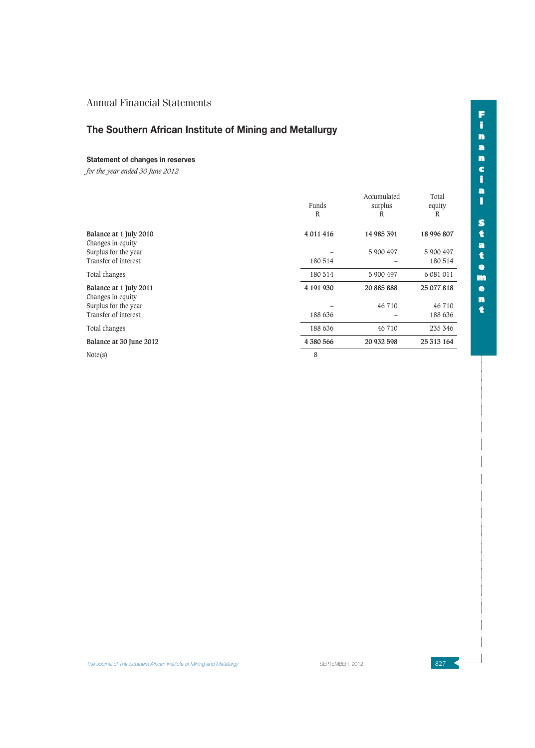# **The Southern African Institute of Mining and Metallurgy**

### **Statement of changes in reserves**

*for the year ended 30 June 2012*

|                                                                     | Funds<br>R    | Accumulated<br>surplus<br>R | Total<br>equity<br>R    |
|---------------------------------------------------------------------|---------------|-----------------------------|-------------------------|
| Balance at 1 July 2010<br>Changes in equity<br>Surplus for the year | 4 0 1 1 4 1 6 | 14 985 391<br>5 900 497     | 18 996 807<br>5 900 497 |
| Transfer of interest                                                | 180 514       |                             | 180 514                 |
| Total changes                                                       | 180 514       | 5 900 497                   | 6 081 011               |
| Balance at 1 July 2011<br>Changes in equity                         | 4 191 930     | 20 885 888                  | 25 077 818              |
| Surplus for the year                                                |               | 46 710                      | 46 710                  |
| Transfer of interest                                                | 188 636       |                             | 188 636                 |
| Total changes                                                       | 188 636       | 46 710                      | 235 346                 |
| Balance at 30 June 2012                                             | 4 380 566     | 20 932 598                  | 25 313 164              |
| Note(s)                                                             | 8             |                             |                         |

**F i n a n c i a l S t a t e m e n t**

The Journal of The Southern African Institute of Mining and Metallurgy Server September 2012 827 **327 American September 2012**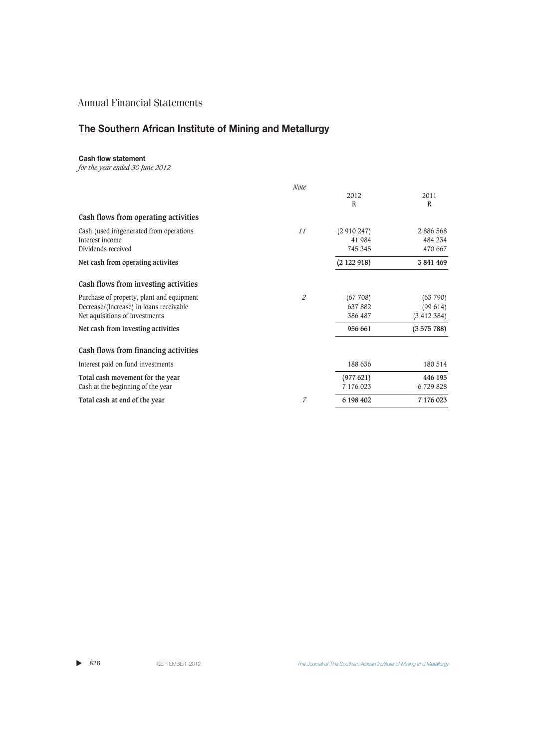# **The Southern African Institute of Mining and Metallurgy**

## **Cash flow statement**

*for the year ended 30 June 2012*

|                                           | Note           |           |           |
|-------------------------------------------|----------------|-----------|-----------|
|                                           |                | 2012      | 2011      |
|                                           |                | R         | R         |
| Cash flows from operating activities      |                |           |           |
| Cash (used in)generated from operations   | 11             | (2910247) | 2 886 568 |
| Interest income                           |                | 41 984    | 484 234   |
| Dividends received                        |                | 745 345   | 470 667   |
| Net cash from operating activites         |                | (2122918) | 3 841 469 |
| Cash flows from investing activities      |                |           |           |
| Purchase of property, plant and equipment | $\overline{c}$ | (67708)   | (63790)   |
| Decrease/(Increase) in loans receivable   |                | 637882    | (99614)   |
| Net aquisitions of investments            |                | 386 487   | (3412384) |
| Net cash from investing activities        |                | 956 661   | (3575788) |
| Cash flows from financing activities      |                |           |           |
| Interest paid on fund investments         |                | 188 636   | 180 514   |
| Total cash movement for the year          |                | (977621)  | 446 195   |
| Cash at the beginning of the year         |                | 7 176 023 | 6 729 828 |
| Total cash at end of the year             | 7              | 6 198 402 | 7 176 023 |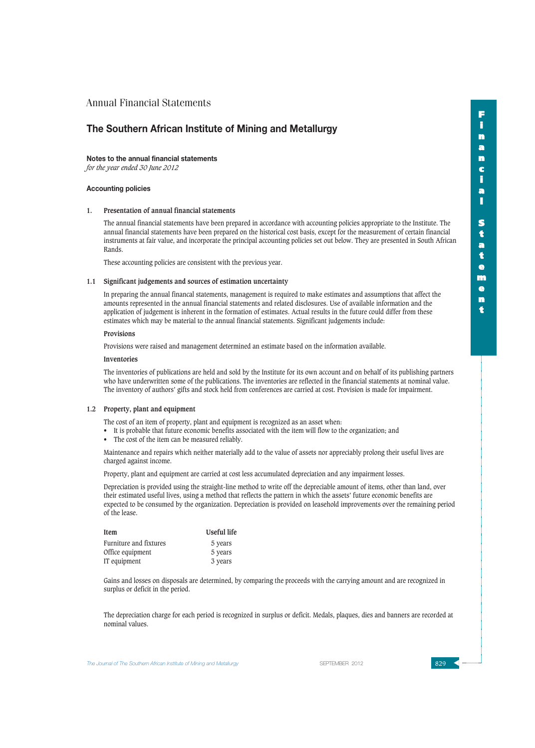## **The Southern African Institute of Mining and Metallurgy**

#### **Notes to the annual financial statements**

*for the year ended 30 June 2012*

#### **Accounting policies**

#### **1. Presentation of annual financial statements**

The annual financial statements have been prepared in accordance with accounting policies appropriate to the Institute. The annual financial statements have been prepared on the historical cost basis, except for the measurement of certain financial instruments at fair value, and incorporate the principal accounting policies set out below. They are presented in South African Rands.

These accounting policies are consistent with the previous year.

#### **1.1 Significant judgements and sources of estimation uncertainty**

In preparing the annual financal statements, management is required to make estimates and assumptions that affect the amounts represented in the annual financial statements and related disclosures. Use of available information and the application of judgement is inherent in the formation of estimates. Actual results in the future could differ from these estimates which may be material to the annual financial statements. Significant judgements include:

#### **Provisions**

Provisions were raised and management determined an estimate based on the information available.

#### **Inventories**

The inventories of publications are held and sold by the Institute for its own account and on behalf of its publishing partners who have underwritten some of the publications. The inventories are reflected in the financial statements at nominal value. The inventory of authors' gifts and stock held from conferences are carried at cost. Provision is made for impairment.

#### **1.2 Property, plant and equipment**

The cost of an item of property, plant and equipment is recognized as an asset when:

- It is probable that future economic benefits associated with the item will flow to the organization; and
- The cost of the item can be measured reliably.

Maintenance and repairs which neither materially add to the value of assets nor appreciably prolong their useful lives are charged against income.

Property, plant and equipment are carried at cost less accumulated depreciation and any impairment losses.

Depreciation is provided using the straight-line method to write off the depreciable amount of items, other than land, over their estimated useful lives, using a method that reflects the pattern in which the assets' future economic benefits are expected to be consumed by the organization. Depreciation is provided on leasehold improvements over the remaining period of the lease.

| Item                   | Useful life |
|------------------------|-------------|
| Furniture and fixtures | 5 years     |
| Office equipment       | 5 years     |
| IT equipment           | 3 years     |

Gains and losses on disposals are determined, by comparing the proceeds with the carrying amount and are recognized in surplus or deficit in the period.

The depreciation charge for each period is recognized in surplus or deficit. Medals, plaques, dies and banners are recorded at nominal values.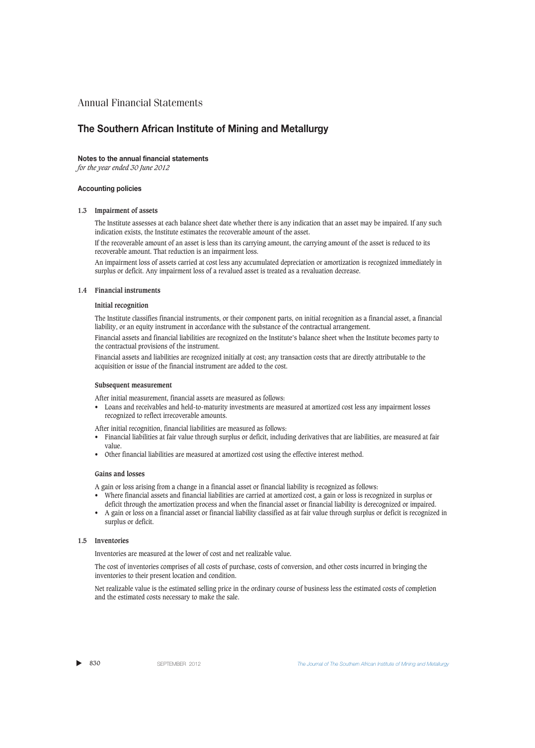## **The Southern African Institute of Mining and Metallurgy**

#### **Notes to the annual financial statements**

*for the year ended 30 June 2012*

#### **Accounting policies**

#### **1.3 Impairment of assets**

The Institute assesses at each balance sheet date whether there is any indication that an asset may be impaired. If any such indication exists, the Institute estimates the recoverable amount of the asset.

If the recoverable amount of an asset is less than its carrying amount, the carrying amount of the asset is reduced to its recoverable amount. That reduction is an impairment loss.

An impairment loss of assets carried at cost less any accumulated depreciation or amortization is recognized immediately in surplus or deficit. Any impairment loss of a revalued asset is treated as a revaluation decrease.

#### **1.4 Financial instruments**

#### **Initial recognition**

The Institute classifies financial instruments, or their component parts, on initial recognition as a financial asset, a financial liability, or an equity instrument in accordance with the substance of the contractual arrangement.

Financial assets and financial liabilities are recognized on the Institute's balance sheet when the Institute becomes party to the contractual provisions of the instrument.

Financial assets and liabilities are recognized initially at cost; any transaction costs that are directly attributable to the acquisition or issue of the financial instrument are added to the cost.

#### **Subsequent measurement**

After initial measurement, financial assets are measured as follows:

• Loans and receivables and held-to-maturity investments are measured at amortized cost less any impairment losses recognized to reflect irrecoverable amounts.

After initial recognition, financial liabilities are measured as follows:

- Financial liabilities at fair value through surplus or deficit, including derivatives that are liabilities, are measured at fair value.
- Other financial liabilities are measured at amortized cost using the effective interest method.

#### **Gains and losses**

A gain or loss arising from a change in a financial asset or financial liability is recognized as follows:

- Where financial assets and financial liabilities are carried at amortized cost, a gain or loss is recognized in surplus or deficit through the amortization process and when the financial asset or financial liability is derecognized or impaired.
- A gain or loss on a financial asset or financial liability classified as at fair value through surplus or deficit is recognized in surplus or deficit.

#### **1.5 Inventories**

Inventories are measured at the lower of cost and net realizable value.

The cost of inventories comprises of all costs of purchase, costs of conversion, and other costs incurred in bringing the inventories to their present location and condition.

Net realizable value is the estimated selling price in the ordinary course of business less the estimated costs of completion and the estimated costs necessary to make the sale.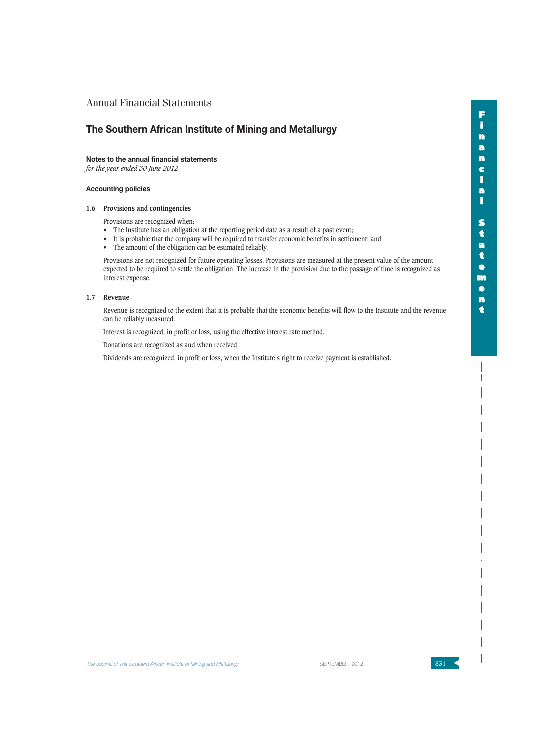## **The Southern African Institute of Mining and Metallurgy**

### **Notes to the annual financial statements**

*for the year ended 30 June 2012*

### **Accounting policies**

### **1.6 Provisions and contingencies**

Provisions are recognized when:

- The Institute has an obligation at the reporting period date as a result of a past event;
- It is probable that the company will be required to transfer economic benefits in settlement; and
- The amount of the obligation can be estimated reliably.

Provisions are not recognized for future operating losses. Provisions are measured at the present value of the amount expected to be required to settle the obligation. The increase in the provision due to the passage of time is recognized as interest expense.

### **1.7 Revenue**

Revenue is recognized to the extent that it is probable that the economic benefits will flow to the Institute and the revenue can be reliably measured.

Interest is recognized, in profit or loss, using the effective interest rate method.

Donations are recognized as and when received.

Dividends are recognized, in profit or loss, when the Institute's right to receive payment is established.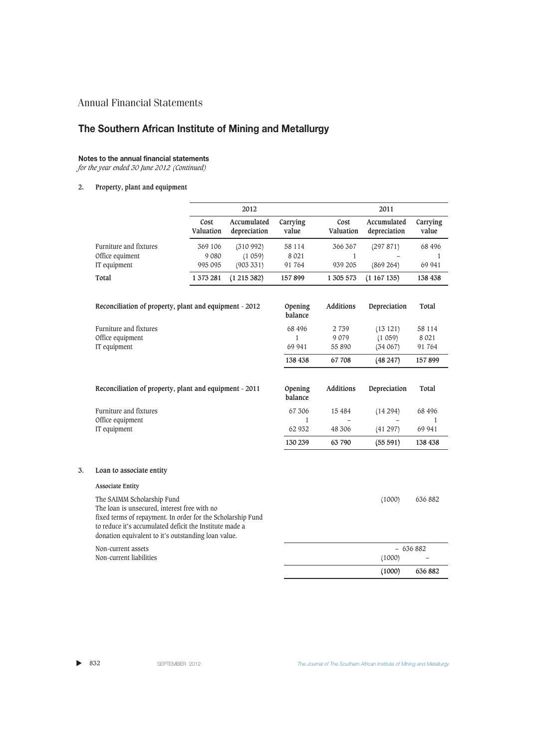# **The Southern African Institute of Mining and Metallurgy**

## **Notes to the annual financial statements**

*for the year ended 30 June 2012 (Continued)*

### **2. Property, plant and equipment**

|                                                                                                                                                                                                                                                             |                   | 2012                        |                    |                   | 2011                        |                   |
|-------------------------------------------------------------------------------------------------------------------------------------------------------------------------------------------------------------------------------------------------------------|-------------------|-----------------------------|--------------------|-------------------|-----------------------------|-------------------|
|                                                                                                                                                                                                                                                             | Cost<br>Valuation | Accumulated<br>depreciation | Carrying<br>value  | Cost<br>Valuation | Accumulated<br>depreciation | Carrying<br>value |
| Furniture and fixtures                                                                                                                                                                                                                                      | 369 106           | (310992)                    | 58 114             | 366 367           | (297 871)                   | 68 496            |
| Office equiment                                                                                                                                                                                                                                             | 9 0 8 0           | (1059)                      | 8 0 21             | $\mathbf{1}$      |                             | 1                 |
| IT equipment                                                                                                                                                                                                                                                | 995 095           | (903331)                    | 91 764             | 939 205           | (869 264)                   | 69 941            |
| Total                                                                                                                                                                                                                                                       | 1 373 281         | (1215382)                   | 157899             | 1 305 573         | (1167135)                   | 138 438           |
| Reconciliation of property, plant and equipment - 2012                                                                                                                                                                                                      |                   |                             | Opening<br>balance | <b>Additions</b>  | Depreciation                | Total             |
| Furniture and fixtures                                                                                                                                                                                                                                      |                   |                             | 68 49 6            | 2 7 3 9           | (13 121)                    | 58 114            |
| Office equipment                                                                                                                                                                                                                                            |                   |                             | $\mathbf{1}$       | 9 0 7 9           | (1059)                      | 8 0 21            |
| IT equipment                                                                                                                                                                                                                                                |                   |                             | 69 941             | 55 890            | (34067)                     | 91 764            |
|                                                                                                                                                                                                                                                             |                   |                             | 138 438            | 67 708            | (48247)                     | 157899            |
| Reconciliation of property, plant and equipment - 2011                                                                                                                                                                                                      |                   |                             | Opening<br>balance | <b>Additions</b>  | Depreciation                | Total             |
| Furniture and fixtures                                                                                                                                                                                                                                      |                   |                             | 67 306             | 15 4 8 4          | (14294)                     | 68 496            |
| Office equipment                                                                                                                                                                                                                                            |                   |                             | $\mathbf{1}$       |                   |                             | 1                 |
| IT equipment                                                                                                                                                                                                                                                |                   |                             | 62 932             | 48 306            | (41 297)                    | 69 941            |
|                                                                                                                                                                                                                                                             |                   |                             | 130 239            | 63 790            | (55591)                     | 138 438           |
| Loan to associate entity                                                                                                                                                                                                                                    |                   |                             |                    |                   |                             |                   |
| <b>Associate Entity</b>                                                                                                                                                                                                                                     |                   |                             |                    |                   |                             |                   |
| The SAIMM Scholarship Fund<br>The loan is unsecured, interest free with no<br>fixed terms of repayment. In order for the Scholarship Fund<br>to reduce it's accumulated deficit the Institute made a<br>donation equivalent to it's outstanding loan value. |                   |                             |                    |                   | (1000)                      | 636 882           |
| Non-current assets                                                                                                                                                                                                                                          |                   |                             |                    |                   | $-636882$                   |                   |
| Non-current liabilities                                                                                                                                                                                                                                     |                   |                             |                    |                   | (1000)                      |                   |

**(1000) 636 882**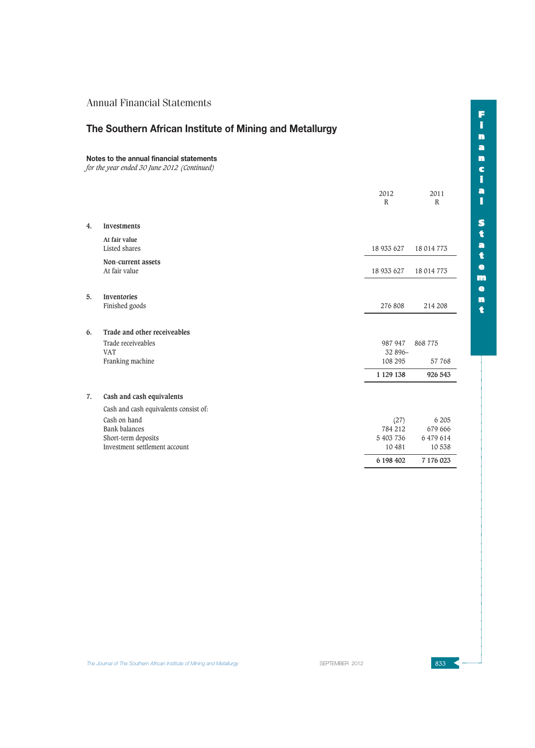# **The Southern African Institute of Mining and Metallurgy**

#### **Notes to the annual financial statements**

*for the year ended 30 June 2012 (Continued)*

|    |                                                      | 2012<br>$\mathbb{R}$          | 2011<br>$\mathbb{R}$ |
|----|------------------------------------------------------|-------------------------------|----------------------|
| 4. | <b>Investments</b>                                   |                               |                      |
|    | At fair value<br>Listed shares                       | 18 933 627                    | 18 014 773           |
|    | Non-current assets<br>At fair value                  | 18 933 627                    | 18 014 773           |
| 5. | Inventories<br>Finished goods                        | 276 808                       | 214 208              |
| 6. | Trade and other receiveables                         |                               |                      |
|    | Trade receiveables<br><b>VAT</b><br>Franking machine | 987 947<br>32 896-<br>108 295 | 868775<br>57 768     |
|    |                                                      | 1 129 138                     | 926 543              |
| 7. | Cash and cash equivalents                            |                               |                      |
|    | Cash and cash equivalents consist of:                |                               |                      |
|    | Cash on hand                                         | (27)                          | 6 205                |
|    | <b>Bank balances</b>                                 | 784 212                       | 679 666              |
|    | Short-term deposits<br>Investment settlement account | 5 403 736<br>10 481           | 6 479 614<br>10538   |
|    |                                                      | 6 198 402                     | 7 176 023            |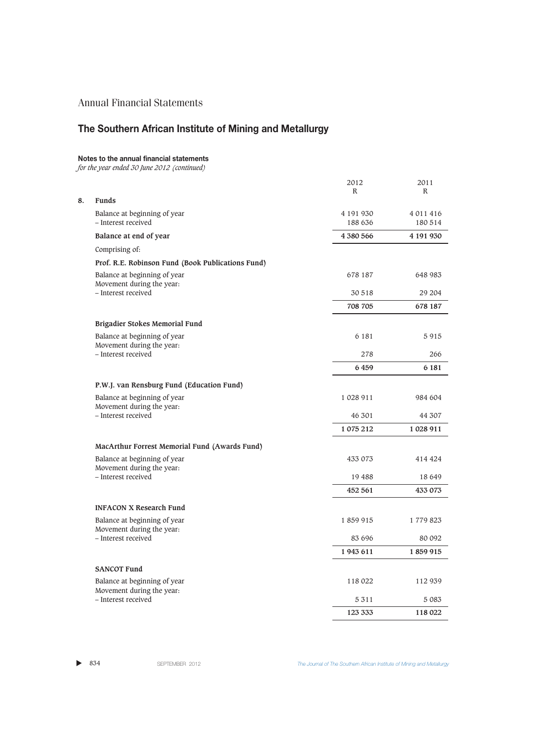# **The Southern African Institute of Mining and Metallurgy**

## **Notes to the annual financial statements**

*for the year ended 30 June 2012 (continued)*

|    |                                                           | 2012<br>R | 2011<br>R |
|----|-----------------------------------------------------------|-----------|-----------|
| 8. | <b>Funds</b>                                              |           |           |
|    | Balance at beginning of year                              | 4 191 930 | 4 011 416 |
|    | - Interest received                                       | 188 636   | 180 514   |
|    | Balance at end of year                                    | 4 380 566 | 4 191 930 |
|    | Comprising of:                                            |           |           |
|    | Prof. R.E. Robinson Fund (Book Publications Fund)         |           |           |
|    | Balance at beginning of year<br>Movement during the year: | 678 187   | 648 983   |
|    | - Interest received                                       | 30 518    | 29 204    |
|    |                                                           | 708 705   | 678 187   |
|    | Brigadier Stokes Memorial Fund                            |           |           |
|    | Balance at beginning of year<br>Movement during the year: | 6 181     | 5915      |
|    | - Interest received                                       | 278       | 266       |
|    |                                                           | 6459      | 6 181     |
|    | P.W.J. van Rensburg Fund (Education Fund)                 |           |           |
|    | Balance at beginning of year<br>Movement during the year: | 1 028 911 | 984 604   |
|    | - Interest received                                       | 46 301    | 44 307    |
|    |                                                           | 1 075 212 | 1 028 911 |
|    | MacArthur Forrest Memorial Fund (Awards Fund)             |           |           |
|    | Balance at beginning of year<br>Movement during the year: | 433 073   | 414 424   |
|    | - Interest received                                       | 19 488    | 18 649    |
|    |                                                           | 452 561   | 433 073   |
|    | <b>INFACON X Research Fund</b>                            |           |           |
|    | Balance at beginning of year<br>Movement during the year: | 1859915   | 1779823   |
|    | - Interest received                                       | 83 696    | 80 092    |
|    |                                                           | 1943 611  | 1859915   |
|    | <b>SANCOT Fund</b>                                        |           |           |
|    | Balance at beginning of year<br>Movement during the year: | 118 022   | 112 939   |
|    | - Interest received                                       | 5 3 1 1   | 5 0 8 3   |
|    |                                                           | 123 333   | 118 022   |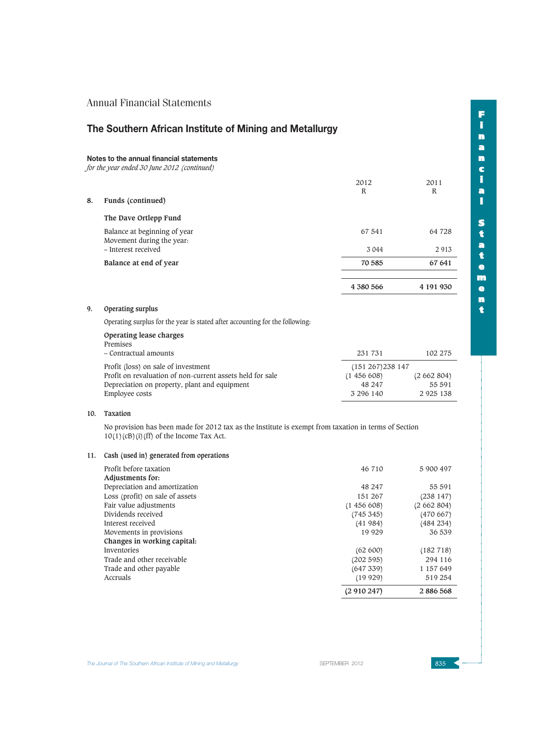# **The Southern African Institute of Mining and Metallurgy**

## **Notes to the annual financial statements**

*for the year ended 30 June 2012 (continued)*

|    |                                                           | 2012<br>R | 2011<br>R |
|----|-----------------------------------------------------------|-----------|-----------|
| 8. | Funds (continued)                                         |           |           |
|    | The Dave Ortlepp Fund                                     |           |           |
|    | Balance at beginning of year<br>Movement during the year: | 67 541    | 64 728    |
|    | - Interest received                                       | 3 0 4 4   | 2913      |
|    | Balance at end of year                                    | 70 585    | 67 641    |
|    |                                                           |           |           |
|    |                                                           | 4 380 566 | 4 191 930 |

## **9. Operating surplus**

Operating surplus for the year is stated after accounting for the following:

| Operating lease charges                                   |                      |               |
|-----------------------------------------------------------|----------------------|---------------|
| Premises                                                  |                      |               |
| - Contractual amounts                                     | 231 731              | 102 275       |
| Profit (loss) on sale of investment                       | $(151\ 267)238\ 147$ |               |
| Profit on revaluation of non-current assets held for sale | (1456608)            | (2662804)     |
| Depreciation on property, plant and equipment             | 48 247               | 55 591        |
| Employee costs                                            | 3 296 140            | 2 9 2 5 1 3 8 |

#### **10. Taxation**

No provision has been made for 2012 tax as the Institute is exempt from taxation in terms of Section  $10(1)(cB)(i)$  (ff) of the Income Tax Act.

### **11. Cash (used in) generated from operations**

| Profit before taxation          | 46 710    | 5 900 497 |
|---------------------------------|-----------|-----------|
| Adjustments for:                |           |           |
| Depreciation and amortization   | 48 247    | 55 591    |
| Loss (profit) on sale of assets | 151 267   | (238147)  |
| Fair value adjustments          | (1456608) | (2662804) |
| Dividends received              | (745345)  | (470667)  |
| Interest received               | (41984)   | (484 234) |
| Movements in provisions         | 19 9 29   | 36 539    |
| Changes in working capital:     |           |           |
| Inventories                     | (62 600)  | (182 718) |
| Trade and other receivable      | (202 595) | 294 116   |
| Trade and other payable         | (647 339) | 1 157 649 |
| Accruals                        | (19929)   | 519 254   |
|                                 | (2910247) | 2886568   |

**The Journal of The Southern African Institute of Mining and Metallurgy Server SEPTEMBER 2012** 835 **835 4**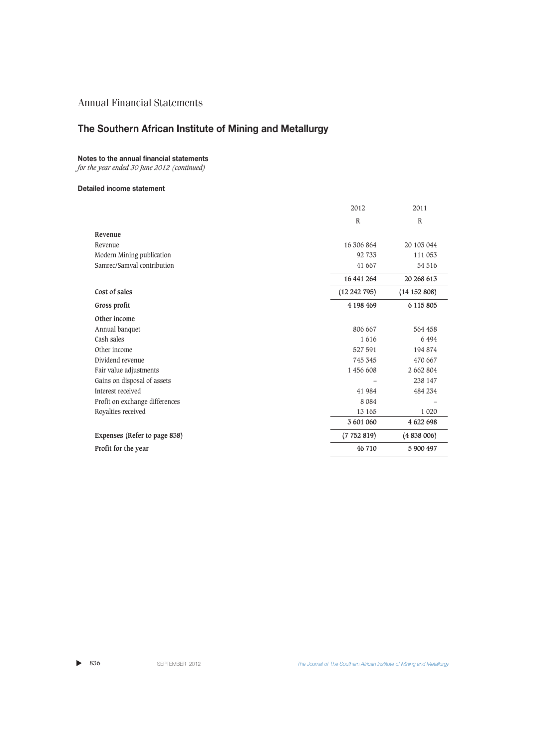# **The Southern African Institute of Mining and Metallurgy**

## **Notes to the annual financial statements**

*for the year ended 30 June 2012 (continued)*

### **Detailed income statement**

|                                | 2012             | 2011          |
|--------------------------------|------------------|---------------|
|                                | $\mathbb R$      | $\mathbb{R}$  |
| Revenue                        |                  |               |
| Revenue                        | 16 306 864       | 20 103 044    |
| Modern Mining publication      | 92 733           | 111 053       |
| Samrec/Samval contribution     | 41 667           | 54 516        |
|                                | 16 441 264       | 20 268 613    |
| Cost of sales                  | $(12\ 242\ 795)$ | (14152808)    |
| Gross profit                   | 4 198 469        | 6 1 1 5 8 0 5 |
| Other income                   |                  |               |
| Annual banquet                 | 806 667          | 564 458       |
| Cash sales                     | 1616             | 6494          |
| Other income                   | 527 591          | 194 874       |
| Dividend revenue               | 745 345          | 470 667       |
| Fair value adjustments         | 1 456 608        | 2 662 804     |
| Gains on disposal of assets    |                  | 238 147       |
| Interest received              | 41 984           | 484 234       |
| Profit on exchange differences | 8 0 8 4          |               |
| Royalties received             | 13 165           | 1 0 2 0       |
|                                | 3 601 060        | 4 622 698     |
| Expenses (Refer to page 838)   | (7752819)        | (4838006)     |
| Profit for the year            | 46 710           | 5 900 497     |